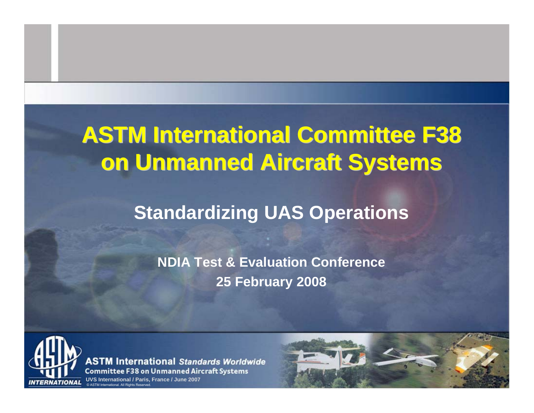# **ASTM International Committee F38 on Unmanned Aircraft Systems on Unmanned Aircraft Systems**

## **Standardizing UAS Operations**

**NDIA Test & Evaluation Conference 25 February 2008**



**ASTM International Standards Worldwide Committee F38 on Unmanned Aircraft Systems** 

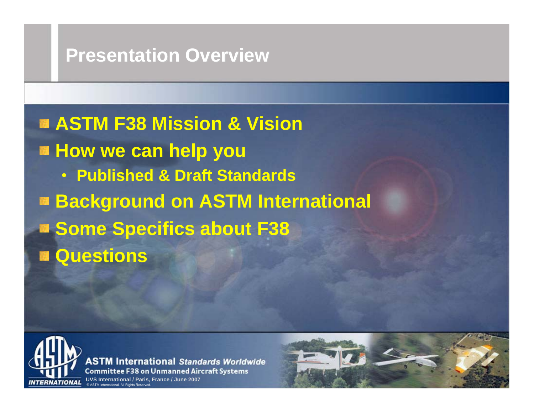#### **Presentation Overview Presentation Overview**

**ASTM F38 Mission & Vision** $H$  **Bow we can help you** • **Published & Draft Standards Background on ASTM International Some Specifics about F38 Questions**



**ASTM International Standards Worldwide Committee F38 on Unmanned Aircraft Systems** 

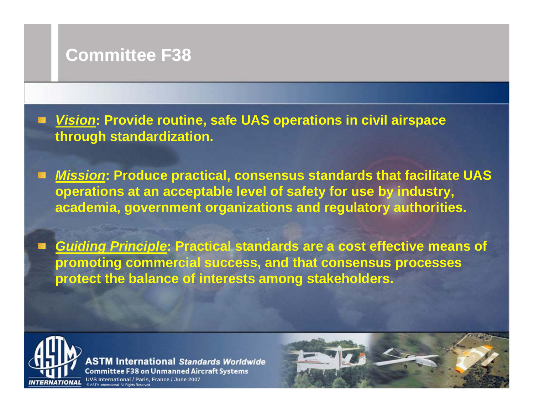#### **Committee F38 Committee F38**

*Vision***: Provide routine, safe UAS operations in civil airspace through standardization.**

*Mission***: Produce practical, consensus standards that facilitate UAS operations at an acceptable level of safety for use by industry, academia, government organizations and regulatory authorities.**

*Guiding Principle***: Practical standards are a cost effective means of promoting commercial success, and that consensus processes protect the balance of interests among stakeholders.**



**ASTM International Standards Worldwide Committee F38 on Unmanned Aircraft Systems** 

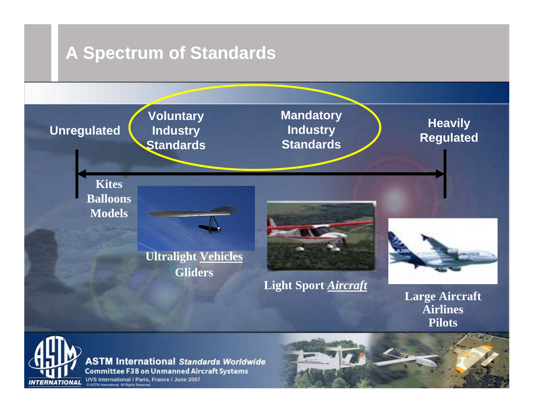#### **A Spectrum of Standards A Spectrum of Standards**



**ASTM International Standards Worldwide Committee F38 on Unmanned Aircraft Systems**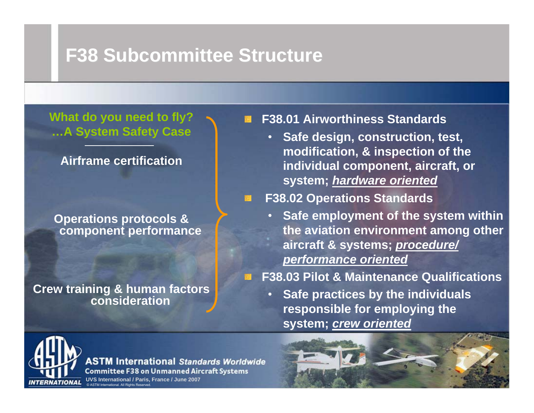## **F38 Subcommittee Structure F38 Subcommittee Structure**

**What do you need to fly? …A System Safety Case**

**Airframe certification**

**Operations protocols & component performance**

**Crew training & human factors consideration**

**F38.01 Airworthiness Standards**

• **Safe design, construction, test, modification, & inspection of the individual component, aircraft, or system;** *hardware oriented*

#### **F38.02 Operations Standards**

 $\scriptstyle\bullet$  **Safe employment of the system within the aviation environment among other aircraft & systems;** *procedure/ performance oriented*

**F38.03 Pilot & Maintenance Qualifications**

• **Safe practices by the individuals responsible for employing the system;** *crew oriented*



**ASTM International Standards Worldwide Committee F38 on Unmanned Aircraft Systems**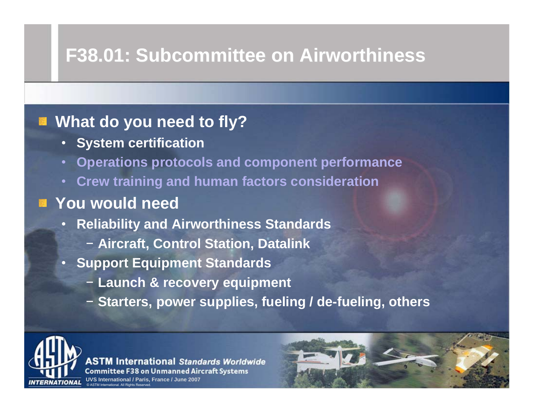## **F38.01: Subcommittee on Airworthiness F38.01: Subcommittee on Airworthiness**

#### **What do you need to fly?**

- •**System certification**
- **Operations protocols and component performance**
- **Crew training and human factors consideration**

#### **You would need**

- $\bullet$  **Reliability and Airworthiness Standards**
	- − **Aircraft, Control Station, Datalink**
- **Support Equipment Standards**
	- − **Launch & recovery equipment**
	- − **Starters, power supplies, fueling / de-fueling, others**



**ASTM International Standards Worldwide Committee F38 on Unmanned Aircraft Systems**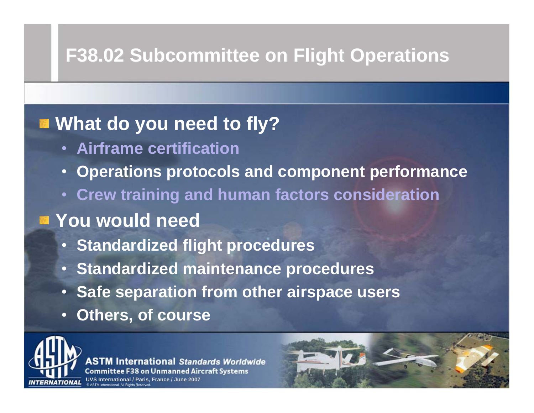# **F38.02 Subcommittee on Flight Operations F38.02 Subcommittee on Flight Operations**

## **What do you need to fly?**

- **Airframe certification**
- •**Operations protocols and component performance**
- **Crew training and human factors consideration**

### **You would need**

- **Standardized flight procedures**
- •**Standardized maintenance procedures**
- **Safe separation from other airspace users**
- •**Others, of course**



**International Standards Worldwide Committee F38 on Unmanned Aircraft Systems** 

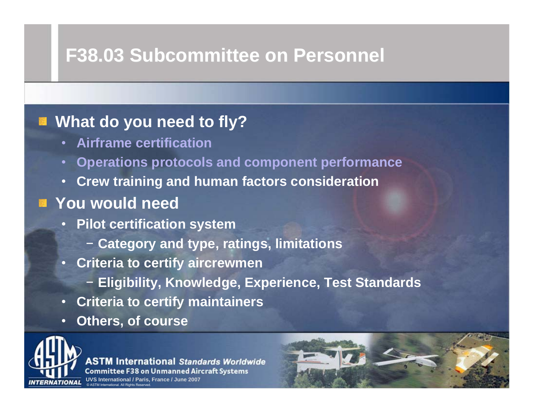## **F38.03 Subcommittee on Personnel F38.03 Subcommittee on Personnel**

#### **EX What do you need to fly?**

- **Airframe certification**
- **Operations protocols and component performance**
- •**Crew training and human factors consideration**

#### **You would need**

- **Pilot certification system**
	- − **Category and type, ratings, limitations**
- **Criteria to certify aircrewmen**
	- − **Eligibility, Knowledge, Experience, Test Standards**
- **Criteria to certify maintainers**
- •**Others, of course**



**ASTM International Standards Worldwide Committee F38 on Unmanned Aircraft Systems** 

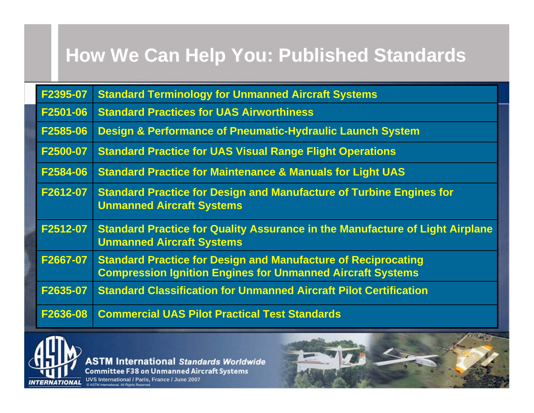# **How We Can Help You: Published Standards**

| F2395-07 | <b>Standard Terminology for Unmanned Aircraft Systems</b>                                                                                 |
|----------|-------------------------------------------------------------------------------------------------------------------------------------------|
| F2501-06 | <b>Standard Practices for UAS Airworthiness</b>                                                                                           |
| F2585-06 | <b>Design &amp; Performance of Pneumatic-Hydraulic Launch System</b>                                                                      |
| F2500-07 | <b>Standard Practice for UAS Visual Range Flight Operations</b>                                                                           |
| F2584-06 | <b>Standard Practice for Maintenance &amp; Manuals for Light UAS</b>                                                                      |
| F2612-07 | <b>Standard Practice for Design and Manufacture of Turbine Engines for</b><br><b>Unmanned Aircraft Systems</b>                            |
| F2512-07 | <b>Standard Practice for Quality Assurance in the Manufacture of Light Airplane</b><br><b>Unmanned Aircraft Systems</b>                   |
| F2667-07 | <b>Standard Practice for Design and Manufacture of Reciprocating</b><br><b>Compression Ignition Engines for Unmanned Aircraft Systems</b> |
| F2635-07 | <b>Standard Classification for Unmanned Aircraft Pilot Certification</b>                                                                  |
| F2636-08 | <b>Commercial UAS Pilot Practical Test Standards</b>                                                                                      |



**ASTM International Standards Worldwide Committee F38 on Unmanned Aircraft Systems**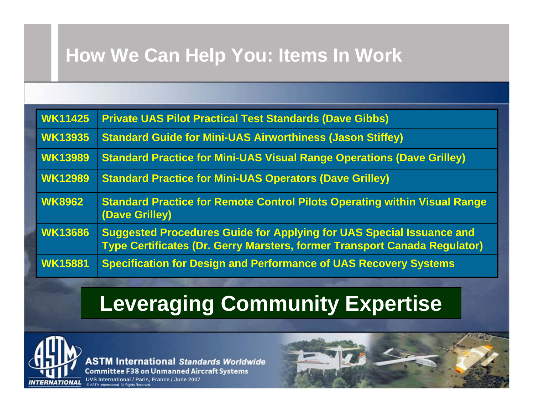# **How We Can Help You: Items In Work**

| <b>WK11425</b> | <b>Private UAS Pilot Practical Test Standards (Dave Gibbs)</b>                                                                                                  |
|----------------|-----------------------------------------------------------------------------------------------------------------------------------------------------------------|
| <b>WK13935</b> | <b>Standard Guide for Mini-UAS Airworthiness (Jason Stiffey)</b>                                                                                                |
| <b>WK13989</b> | <b>Standard Practice for Mini-UAS Visual Range Operations (Dave Grilley)</b>                                                                                    |
| <b>WK12989</b> | <b>Standard Practice for Mini-UAS Operators (Dave Grilley)</b>                                                                                                  |
| <b>WK8962</b>  | <b>Standard Practice for Remote Control Pilots Operating within Visual Range</b><br>(Dave Grilley)                                                              |
| <b>WK13686</b> | <b>Suggested Procedures Guide for Applying for UAS Special Issuance and</b><br><b>Type Certificates (Dr. Gerry Marsters, former Transport Canada Regulator)</b> |
| <b>WK15881</b> | <b>Specification for Design and Performance of UAS Recovery Systems</b>                                                                                         |

# **Leveraging Community Expertise**



**ASTM International Standards Worldwide Committee F38 on Unmanned Aircraft Systems** 

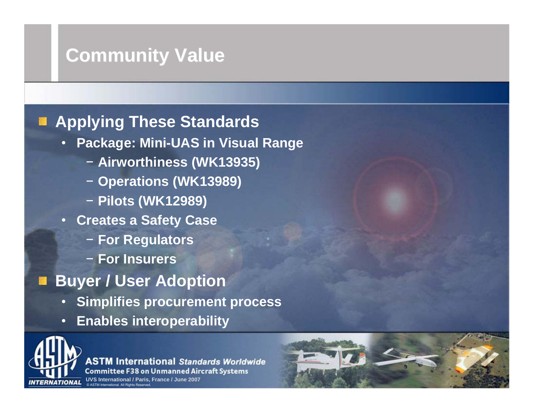## **Community Value Community Value**

#### **Applying These Standards**

- **Package: Mini-UAS in Visual Range**
	- − **Airworthiness (WK13935)**
	- − **Operations (WK13989)**
	- − **Pilots (WK12989)**
- **Creates a Safety Case**
	- − **For Regulators**
	- − **For Insurers**
- **Buyer / User Adoption** 
	- •**Simplifies procurement process**
	- •**Enables interoperability**



**ASTM International Standards Worldwide Committee F38 on Unmanned Aircraft Systems** 

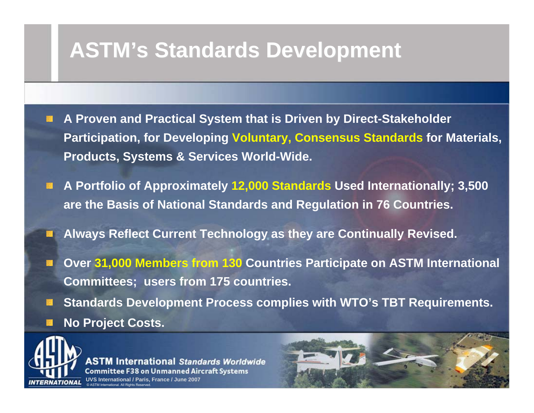# **ASTM's Standards Development ASTM's Standards Development**

- **A Proven and Practical System that is Driven by Direct-Stakeholder Participation, for Developing Voluntary, Consensus Standards for Materials, Products, Systems & Services World-Wide.**
- **A Portfolio of Approximately 12,000 Standards Used Internationally; 3,500 are the Basis of National Standards and Regulation in 76 Countries.**
- **Always Reflect Current Technology as they are Continually Revised.**
- **Over 31,000 Members from 130 Countries Participate on ASTM International Committees; users from 175 countries.**
- **Standards Development Process complies with WTO's TBT Requirements. No Project Costs.**



**International Standards Worldwide Committee F38 on Unmanned Aircraft Systems** 

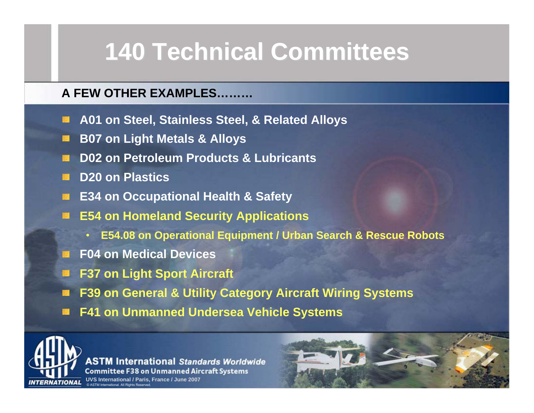# **140 Technical Committees 140 Technical Committees**

#### **A FEW OTHER EXAMPLES………**

- **A01 on Steel, Stainless Steel, & Related Alloys**
- **B07 on Light Metals & Alloys**
- **D02 on Petroleum Products & Lubricants**
- **D20 on Plastics**
- **E34 on Occupational Health & Safety**
- **E54 on Homeland Security Applications**
	- $\blacksquare$ **E54.08 on Operational Equipment / Urban Search & Rescue Robots**
- **F04 on Medical Devices**
- **F37 on Light Sport Aircraft**
- **F39 on General & Utility Category Aircraft Wiring Systems**
- **F41 on Unmanned Undersea Vehicle Systems**



**ASTM International Standards Worldwide Committee F38 on Unmanned Aircraft Systems**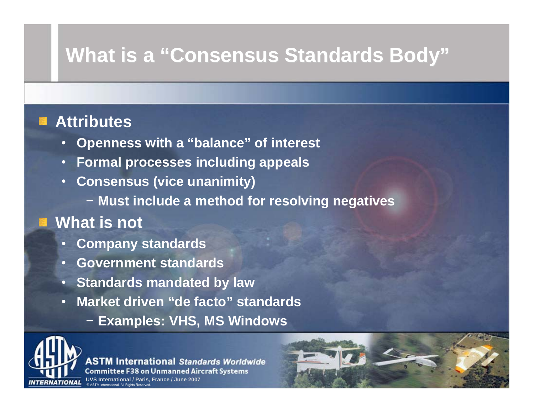# **What is a "Consensus Standards Body" What is a "Consensus Standards Body"**

#### **Attributes**

- •**Openness with a "balance" of interest**
- •**Formal processes including appeals**
- • **Consensus (vice unanimity)**
	- − **Must include a method for resolving negatives**

#### **What is not**

- •**Company standards**
- $\bullet$ **Government standards**
- •**Standards mandated by law**
- • **Market driven "de facto" standards**
	- − **Examples: VHS, MS Windows**



**ASTM International Standards Worldwide Committee F38 on Unmanned Aircraft Systems** 

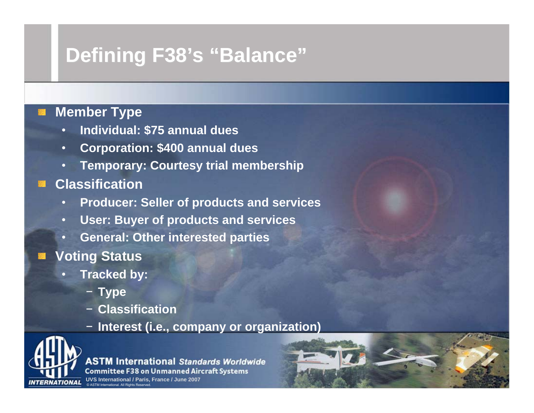# **Defining F38's "Balance" Defining F38's "Balance"**

#### **Member Type**

- •**Individual: \$75 annual dues**
- •**Corporation: \$400 annual dues**
- •**Temporary: Courtesy trial membership**
- **Classification**
	- •**Producer: Seller of products and services**
	- **User: Buyer of products and services**
	- $\scriptstyle\bullet$ **General: Other interested parties**
- Voting Status
	- **Tracked by:**
		- − **Type**
		- − **Classification**
		- − **Interest (i.e., company or organization)**



**ASTM International Standards Worldwide Committee F38 on Unmanned Aircraft Systems**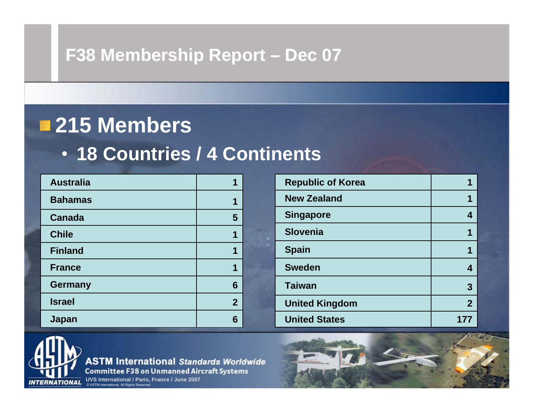#### **F38 Membership Report – Dec 07**

# **215 Members**

## • **18 Countries / 4 Continents**

| <b>Australia</b> |                |
|------------------|----------------|
| <b>Bahamas</b>   | 1              |
| <b>Canada</b>    | 5              |
| <b>Chile</b>     | 1              |
| <b>Finland</b>   | 1              |
| <b>France</b>    | 1              |
| <b>Germany</b>   | 6              |
| <b>Israel</b>    | $\overline{2}$ |
| Japan            | 6              |

| <b>Republic of Korea</b> |                |
|--------------------------|----------------|
| <b>New Zealand</b>       | 1              |
| <b>Singapore</b>         | 4              |
| <b>Slovenia</b>          | 1              |
| <b>Spain</b>             | 1              |
| <b>Sweden</b>            | 4              |
| <b>Taiwan</b>            | 3              |
| <b>United Kingdom</b>    | $\overline{2}$ |
| <b>United States</b>     |                |



**ASTM International Standards Worldwide Committee F38 on Unmanned Aircraft Systems** 

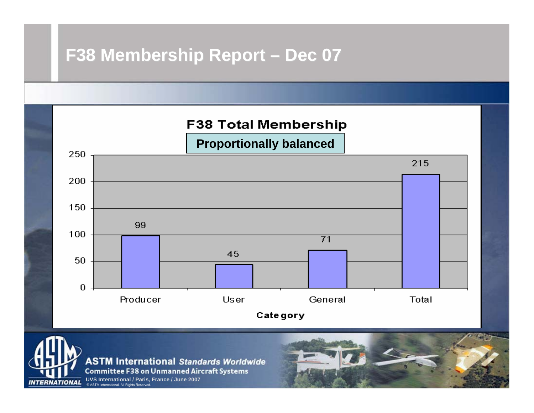#### **F38 Membership Report – Dec 07**





**ASTM International Standards Worldwide Committee F38 on Unmanned Aircraft Systems**